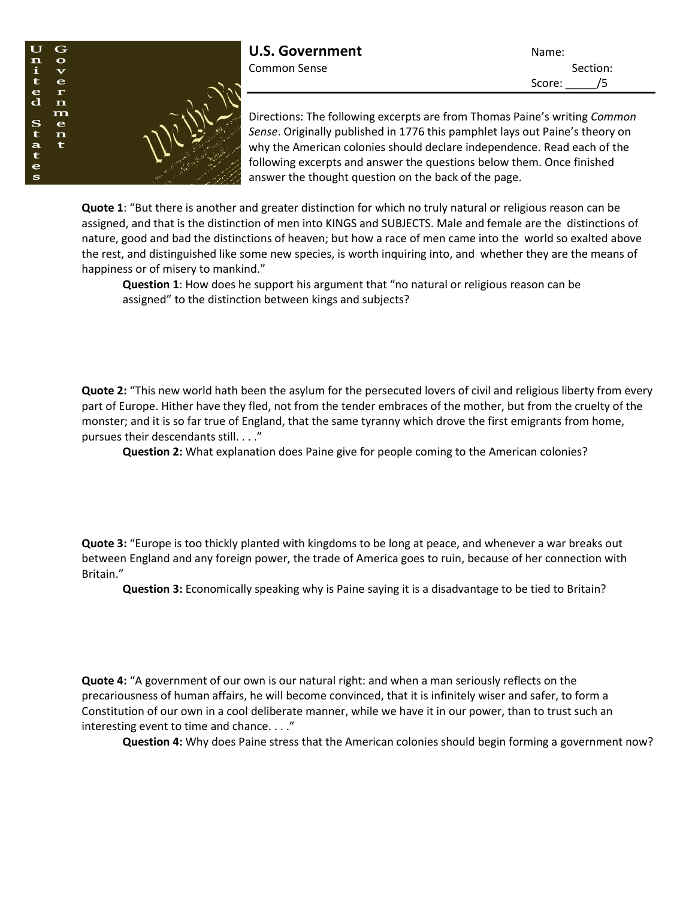

Directions: The following excerpts are from Thomas Paine's writing *Common Sense*. Originally published in 1776 this pamphlet lays out Paine's theory on why the American colonies should declare independence. Read each of the following excerpts and answer the questions below them. Once finished answer the thought question on the back of the page.

**Quote 1**: "But there is another and greater distinction for which no truly natural or religious reason can be assigned, and that is the distinction of men into KINGS and SUBJECTS. Male and female are the distinctions of nature, good and bad the distinctions of heaven; but how a race of men came into the world so exalted above the rest, and distinguished like some new species, is worth inquiring into, and whether they are the means of happiness or of misery to mankind."

**Question 1**: How does he support his argument that "no natural or religious reason can be assigned" to the distinction between kings and subjects?

**Quote 2:** "This new world hath been the asylum for the persecuted lovers of civil and religious liberty from every part of Europe. Hither have they fled, not from the tender embraces of the mother, but from the cruelty of the monster; and it is so far true of England, that the same tyranny which drove the first emigrants from home, pursues their descendants still. . . ."

**Question 2:** What explanation does Paine give for people coming to the American colonies?

**Quote 3:** "Europe is too thickly planted with kingdoms to be long at peace, and whenever a war breaks out between England and any foreign power, the trade of America goes to ruin, because of her connection with Britain."

**Question 3:** Economically speaking why is Paine saying it is a disadvantage to be tied to Britain?

**Quote 4:** "A government of our own is our natural right: and when a man seriously reflects on the precariousness of human affairs, he will become convinced, that it is infinitely wiser and safer, to form a Constitution of our own in a cool deliberate manner, while we have it in our power, than to trust such an interesting event to time and chance. . . ."

**Question 4:** Why does Paine stress that the American colonies should begin forming a government now?